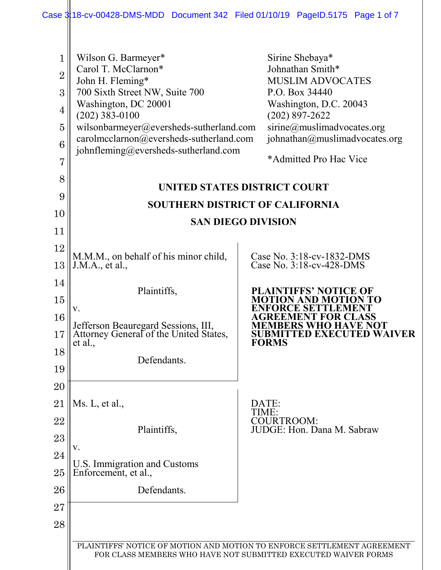<span id="page-0-6"></span><span id="page-0-5"></span><span id="page-0-4"></span><span id="page-0-3"></span><span id="page-0-2"></span><span id="page-0-1"></span><span id="page-0-0"></span>

|                                                                                     | Case 3:18-cv-00428-DMS-MDD Document 342 Filed 01/10/19 PageID.5175 Page 1 of 7                                                                                                                                                                                             |       |                                                                                                                                                                                                                         |  |  |
|-------------------------------------------------------------------------------------|----------------------------------------------------------------------------------------------------------------------------------------------------------------------------------------------------------------------------------------------------------------------------|-------|-------------------------------------------------------------------------------------------------------------------------------------------------------------------------------------------------------------------------|--|--|
| 1<br>$\overline{2}$<br>3<br>$\overline{4}$<br>$\overline{5}$<br>6<br>$\overline{7}$ | Wilson G. Barmeyer*<br>Carol T. McClarnon*<br>John H. Fleming*<br>700 Sixth Street NW, Suite 700<br>Washington, DC 20001<br>$(202)$ 383-0100<br>wilsonbarmeyer@eversheds-sutherland.com<br>carolmcclarnon@eversheds-sutherland.com<br>johnfleming@eversheds-sutherland.com |       | Sirine Shebaya*<br>Johnathan Smith*<br><b>MUSLIM ADVOCATES</b><br>P.O. Box 34440<br>Washington, D.C. 20043<br>$(202)$ 897-2622<br>sirine@muslimadvocates.org<br>johnathan@muslimadvocates.org<br>*Admitted Pro Hac Vice |  |  |
| 8                                                                                   | UNITED STATES DISTRICT COURT                                                                                                                                                                                                                                               |       |                                                                                                                                                                                                                         |  |  |
| 9                                                                                   | <b>SOUTHERN DISTRICT OF CALIFORNIA</b>                                                                                                                                                                                                                                     |       |                                                                                                                                                                                                                         |  |  |
| 10                                                                                  | <b>SAN DIEGO DIVISION</b>                                                                                                                                                                                                                                                  |       |                                                                                                                                                                                                                         |  |  |
| 11                                                                                  |                                                                                                                                                                                                                                                                            |       |                                                                                                                                                                                                                         |  |  |
| 12                                                                                  | M.M.M., on behalf of his minor child,                                                                                                                                                                                                                                      |       | Case No. 3:18-cv-1832-DMS                                                                                                                                                                                               |  |  |
| 13                                                                                  | J.M.A., et al.,                                                                                                                                                                                                                                                            |       | Case No. 3:18-cv-428-DMS                                                                                                                                                                                                |  |  |
| 14                                                                                  | Plaintiffs,                                                                                                                                                                                                                                                                |       | <b>PLAINTIFFS' NOTICE OF</b>                                                                                                                                                                                            |  |  |
| 15                                                                                  | V.                                                                                                                                                                                                                                                                         |       | <b>MOTION AND MOTIO</b><br><b>ENFORCE SETTLEMENT</b>                                                                                                                                                                    |  |  |
| 16                                                                                  | Jefferson Beauregard Sessions, III,<br>Attorney General of the United States,                                                                                                                                                                                              |       | EEMENT FOR CLASS<br><b>MEMBERS WHO HAVE NOT</b>                                                                                                                                                                         |  |  |
| 17                                                                                  | et al.,                                                                                                                                                                                                                                                                    |       | <b>SUBMITTED EXECUTED WAIVER</b><br><b>FORMS</b>                                                                                                                                                                        |  |  |
| 18                                                                                  | Defendants.                                                                                                                                                                                                                                                                |       |                                                                                                                                                                                                                         |  |  |
| 19                                                                                  |                                                                                                                                                                                                                                                                            |       |                                                                                                                                                                                                                         |  |  |
| 20<br>21                                                                            | Ms. L, et al.,                                                                                                                                                                                                                                                             | DATE: |                                                                                                                                                                                                                         |  |  |
| 22                                                                                  |                                                                                                                                                                                                                                                                            | TIME: | COURTROOM:                                                                                                                                                                                                              |  |  |
| 23                                                                                  | Plaintiffs,                                                                                                                                                                                                                                                                |       | JUDGE: Hon. Dana M. Sabraw                                                                                                                                                                                              |  |  |
| 24                                                                                  | V.                                                                                                                                                                                                                                                                         |       |                                                                                                                                                                                                                         |  |  |
| 25                                                                                  | U.S. Immigration and Customs<br>Enforcement, et al.,                                                                                                                                                                                                                       |       |                                                                                                                                                                                                                         |  |  |
| 26                                                                                  | Defendants.                                                                                                                                                                                                                                                                |       |                                                                                                                                                                                                                         |  |  |
| 27                                                                                  |                                                                                                                                                                                                                                                                            |       |                                                                                                                                                                                                                         |  |  |
| 28                                                                                  |                                                                                                                                                                                                                                                                            |       |                                                                                                                                                                                                                         |  |  |
|                                                                                     | PLAINTIFFS' NOTICE OF MOTION AND MOTION TO ENFORCE SETTLEMENT AGREEMENT                                                                                                                                                                                                    |       |                                                                                                                                                                                                                         |  |  |
|                                                                                     | FOR CLASS MEMBERS WHO HAVE NOT SUBMITTED EXECUTED WAIVER FORMS                                                                                                                                                                                                             |       |                                                                                                                                                                                                                         |  |  |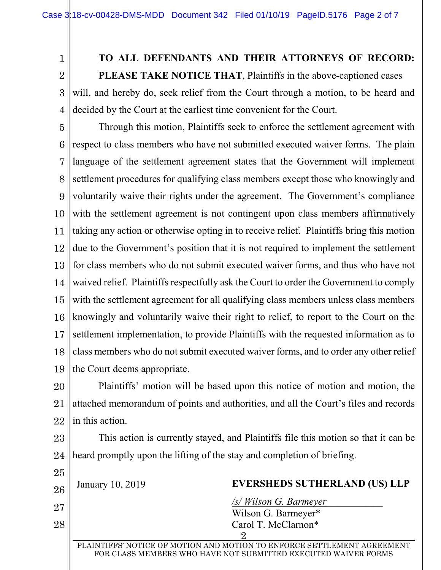1

4

### **TO ALL DEFENDANTS AND THEIR ATTORNEYS OF RECORD:**

2 3 **PLEASE TAKE NOTICE THAT**, Plaintiffs in the above-captioned cases will, and hereby do, seek relief from the Court through a motion, to be heard and decided by the Court at the earliest time convenient for the Court.

5 6 7 8 9 10 11 12 13 14 15 16 17 18 19 Through this motion, Plaintiffs seek to enforce the settlement agreement with respect to class members who have not submitted executed waiver forms. The plain language of the settlement agreement states that the Government will implement settlement procedures for qualifying class members except those who knowingly and voluntarily waive their rights under the agreement. The Government's compliance with the settlement agreement is not contingent upon class members affirmatively taking any action or otherwise opting in to receive relief. Plaintiffs bring this motion due to the Government's position that it is not required to implement the settlement for class members who do not submit executed waiver forms, and thus who have not waived relief. Plaintiffs respectfully ask the Court to order the Government to comply with the settlement agreement for all qualifying class members unless class members knowingly and voluntarily waive their right to relief, to report to the Court on the settlement implementation, to provide Plaintiffs with the requested information as to class members who do not submit executed waiver forms, and to order any other relief the Court deems appropriate.

20 21 22 Plaintiffs' motion will be based upon this notice of motion and motion, the attached memorandum of points and authorities, and all the Court's files and records in this action.

23 24 This action is currently stayed, and Plaintiffs file this motion so that it can be heard promptly upon the lifting of the stay and completion of briefing.

25 26 27 28 2 PLAINTIFFS' NOTICE OF MOTION AND MOTION TO ENFORCE SETTLEMENT AGREEMENT FOR CLASS MEMBERS WHO HAVE NOT SUBMITTED EXECUTED WAIVER FORMS January 10, 2019 **EVERSHEDS SUTHERLAND (US) LLP** */s/ Wilson G. Barmeyer*\_\_\_\_\_\_\_\_\_\_\_\_\_ Wilson G. Barmeyer\* Carol T. McClarnon\*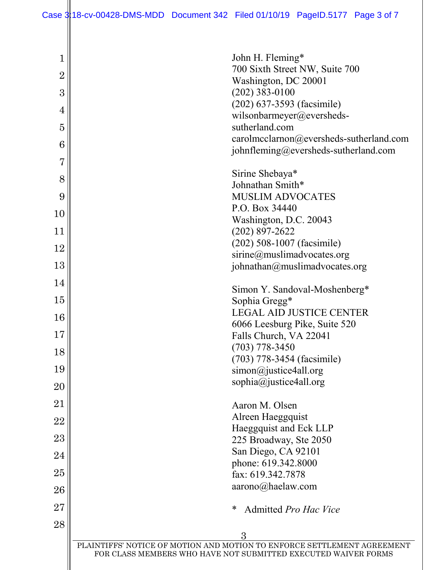| 1              | John H. Fleming*                                                                                                                          |
|----------------|-------------------------------------------------------------------------------------------------------------------------------------------|
| $\overline{2}$ | 700 Sixth Street NW, Suite 700                                                                                                            |
| 3              | Washington, DC 20001<br>$(202)$ 383-0100                                                                                                  |
|                | $(202)$ 637-3593 (facsimile)                                                                                                              |
| 4              | wilsonbarmeyer@eversheds-                                                                                                                 |
| 5              | sutherland.com                                                                                                                            |
| 6              | carolmcclarnon@eversheds-sutherland.com<br>johnfleming@eversheds-sutherland.com                                                           |
| 7              |                                                                                                                                           |
| 8              | Sirine Shebaya*                                                                                                                           |
|                | Johnathan Smith*                                                                                                                          |
| 9              | <b>MUSLIM ADVOCATES</b><br>P.O. Box 34440                                                                                                 |
| 10             | Washington, D.C. 20043                                                                                                                    |
| 11             | $(202)$ 897-2622                                                                                                                          |
| 12             | $(202)$ 508-1007 (facsimile)                                                                                                              |
|                | sirine@muslimadvocates.org                                                                                                                |
| 13             | johnathan@muslimadvocates.org                                                                                                             |
| 14             | Simon Y. Sandoval-Moshenberg*                                                                                                             |
| 15             | Sophia Gregg*                                                                                                                             |
| 16             | <b>LEGAL AID JUSTICE CENTER</b>                                                                                                           |
| 17             | 6066 Leesburg Pike, Suite 520                                                                                                             |
|                | Falls Church, VA 22041<br>$(703)$ 778-3450                                                                                                |
| 18             | (703) 778-3454 (facsimile)                                                                                                                |
| 19             | $simon@$ justice4all.org                                                                                                                  |
| 20             | sophia@justice4all.org                                                                                                                    |
| 21             | Aaron M. Olsen                                                                                                                            |
| 22             | Alreen Haeggquist                                                                                                                         |
|                | Haeggquist and Eck LLP                                                                                                                    |
| 23             | 225 Broadway, Ste 2050                                                                                                                    |
| 24             | San Diego, CA 92101<br>phone: 619.342.8000                                                                                                |
| 25             | fax: 619.342.7878                                                                                                                         |
| 26             | aarono@haelaw.com                                                                                                                         |
| 27             | ∗<br>Admitted Pro Hac Vice                                                                                                                |
| 28             |                                                                                                                                           |
|                | 3                                                                                                                                         |
|                | PLAINTIFFS' NOTICE OF MOTION AND MOTION TO ENFORCE SETTLEMENT AGREEMENT<br>FOR CLASS MEMBERS WHO HAVE NOT SUBMITTED EXECUTED WAIVER FORMS |
|                |                                                                                                                                           |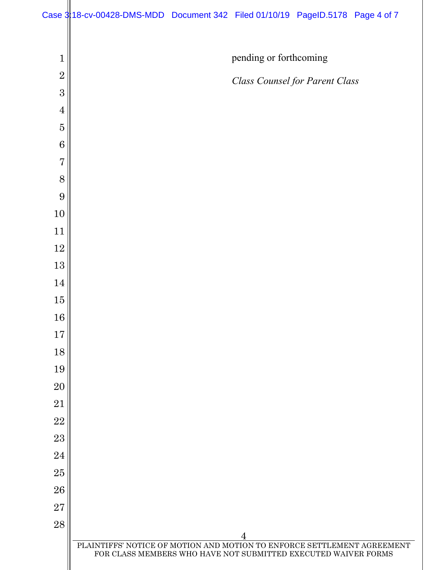| $\mathbf{1}$   | pending or forthcoming                                                                                                                         |
|----------------|------------------------------------------------------------------------------------------------------------------------------------------------|
| $\overline{2}$ | <b>Class Counsel for Parent Class</b>                                                                                                          |
| 3              |                                                                                                                                                |
| $\overline{4}$ |                                                                                                                                                |
| $\overline{5}$ |                                                                                                                                                |
| 6              |                                                                                                                                                |
| $\overline{7}$ |                                                                                                                                                |
| 8              |                                                                                                                                                |
| 9              |                                                                                                                                                |
| $10\,$         |                                                                                                                                                |
| 11             |                                                                                                                                                |
| $12\,$         |                                                                                                                                                |
| 13             |                                                                                                                                                |
| 14             |                                                                                                                                                |
| $15\,$         |                                                                                                                                                |
| 16             |                                                                                                                                                |
| 17             |                                                                                                                                                |
| 18             |                                                                                                                                                |
| 19             |                                                                                                                                                |
| 20             |                                                                                                                                                |
| 21             |                                                                                                                                                |
| 22             |                                                                                                                                                |
| 23             |                                                                                                                                                |
| 24             |                                                                                                                                                |
| $25\,$         |                                                                                                                                                |
| 26             |                                                                                                                                                |
| 27             |                                                                                                                                                |
| 28             |                                                                                                                                                |
|                | 4<br>PLAINTIFFS' NOTICE OF MOTION AND MOTION TO ENFORCE SETTLEMENT AGREEMENT<br>FOR CLASS MEMBERS WHO HAVE NOT SUBMITTED EXECUTED WAIVER FORMS |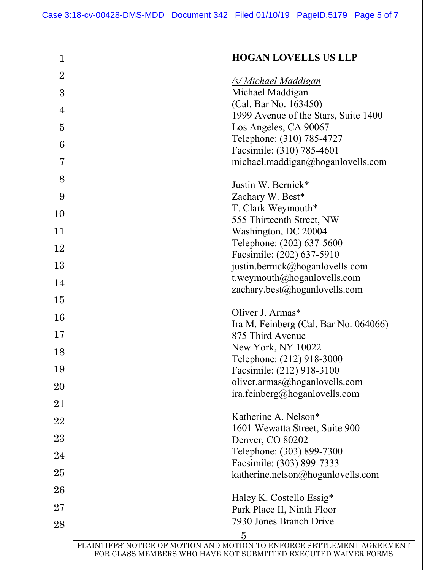| 1              | <b>HOGAN LOVELLS US LLP</b>                                                                                                               |
|----------------|-------------------------------------------------------------------------------------------------------------------------------------------|
| $\overline{2}$ |                                                                                                                                           |
|                | <b><u>/s/ Michael Maddigan</u></b>                                                                                                        |
| 3              | Michael Maddigan                                                                                                                          |
| 4              | (Cal. Bar No. 163450)                                                                                                                     |
| $\overline{5}$ | 1999 Avenue of the Stars, Suite 1400<br>Los Angeles, CA 90067                                                                             |
|                | Telephone: (310) 785-4727                                                                                                                 |
| 6              | Facsimile: (310) 785-4601                                                                                                                 |
| $\overline{7}$ | michael.maddigan@hoganlovells.com                                                                                                         |
| 8              |                                                                                                                                           |
|                | Justin W. Bernick*                                                                                                                        |
| 9              | Zachary W. Best*<br>T. Clark Weymouth*                                                                                                    |
| 10             | 555 Thirteenth Street, NW                                                                                                                 |
| 11             | Washington, DC 20004                                                                                                                      |
| 12             | Telephone: (202) 637-5600                                                                                                                 |
|                | Facsimile: (202) 637-5910                                                                                                                 |
| 13             | justin.bernick@hoganlovells.com                                                                                                           |
| 14             | t.weymouth@hoganlovells.com                                                                                                               |
| 15             | zachary.best@hoganlovells.com                                                                                                             |
|                | Oliver J. Armas*                                                                                                                          |
| 16             | Ira M. Feinberg (Cal. Bar No. 064066)                                                                                                     |
| 17             | 875 Third Avenue                                                                                                                          |
| 18             | New York, NY 10022                                                                                                                        |
|                | Telephone: (212) 918-3000                                                                                                                 |
| 19             | Facsimile: (212) 918-3100                                                                                                                 |
| 20             | oliver.armas@hoganlovells.com<br>ira.feinberg@hoganlovells.com                                                                            |
| 21             |                                                                                                                                           |
| 22             | Katherine A. Nelson*                                                                                                                      |
|                | 1601 Wewatta Street, Suite 900                                                                                                            |
| 23             | Denver, CO 80202                                                                                                                          |
| 24             | Telephone: (303) 899-7300                                                                                                                 |
| 25             | Facsimile: (303) 899-7333                                                                                                                 |
|                | katherine.nelson@hoganlovells.com                                                                                                         |
| 26             | Haley K. Costello Essig*                                                                                                                  |
| 27             | Park Place II, Ninth Floor                                                                                                                |
| 28             | 7930 Jones Branch Drive                                                                                                                   |
|                | $\overline{5}$                                                                                                                            |
|                | PLAINTIFFS' NOTICE OF MOTION AND MOTION TO ENFORCE SETTLEMENT AGREEMENT<br>FOR CLASS MEMBERS WHO HAVE NOT SUBMITTED EXECUTED WAIVER FORMS |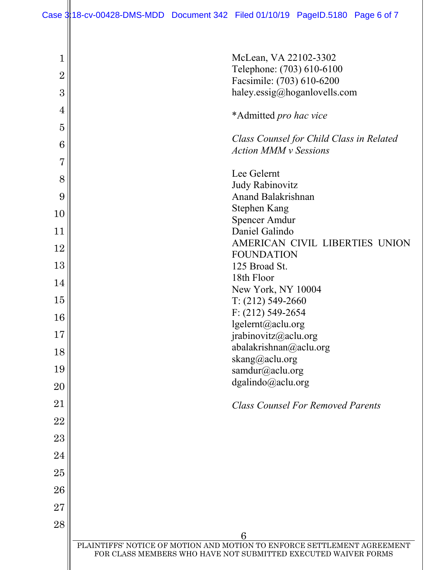| $\mathbf 1$    | McLean, VA 22102-3302                                                                                                                     |
|----------------|-------------------------------------------------------------------------------------------------------------------------------------------|
| $\overline{2}$ | Telephone: (703) 610-6100<br>Facsimile: (703) 610-6200                                                                                    |
| 3              | haley.essig@hoganlovells.com                                                                                                              |
| 4              | *Admitted pro hac vice                                                                                                                    |
| $\overline{5}$ |                                                                                                                                           |
| 6              | Class Counsel for Child Class in Related<br><b>Action MMM v Sessions</b>                                                                  |
| $\overline{7}$ |                                                                                                                                           |
| 8              | Lee Gelernt                                                                                                                               |
| 9              | <b>Judy Rabinovitz</b><br>Anand Balakrishnan                                                                                              |
| 10             | <b>Stephen Kang</b>                                                                                                                       |
| 11             | <b>Spencer Amdur</b><br>Daniel Galindo                                                                                                    |
|                | AMERICAN CIVIL LIBERTIES UNION                                                                                                            |
| 12             | <b>FOUNDATION</b>                                                                                                                         |
| 13             | 125 Broad St.<br>18th Floor                                                                                                               |
| 14             | New York, NY 10004                                                                                                                        |
| 15             | $T: (212) 549 - 2660$                                                                                                                     |
| 16             | $F: (212) 549 - 2654$                                                                                                                     |
| 17             | lgelernt@aclu.org<br>jrabinovitz@aclu.org                                                                                                 |
| 18             | abalakrishnan@aclu.org                                                                                                                    |
|                | skang@aclu.org                                                                                                                            |
| 19             | samdur@aclu.org<br>dgalindo@aclu.org                                                                                                      |
| 20             |                                                                                                                                           |
| 21             | <b>Class Counsel For Removed Parents</b>                                                                                                  |
| 22             |                                                                                                                                           |
| 23             |                                                                                                                                           |
| 24             |                                                                                                                                           |
| $25\,$         |                                                                                                                                           |
| 26             |                                                                                                                                           |
| 27             |                                                                                                                                           |
| 28             |                                                                                                                                           |
|                | 6                                                                                                                                         |
|                | PLAINTIFFS' NOTICE OF MOTION AND MOTION TO ENFORCE SETTLEMENT AGREEMENT<br>FOR CLASS MEMBERS WHO HAVE NOT SUBMITTED EXECUTED WAIVER FORMS |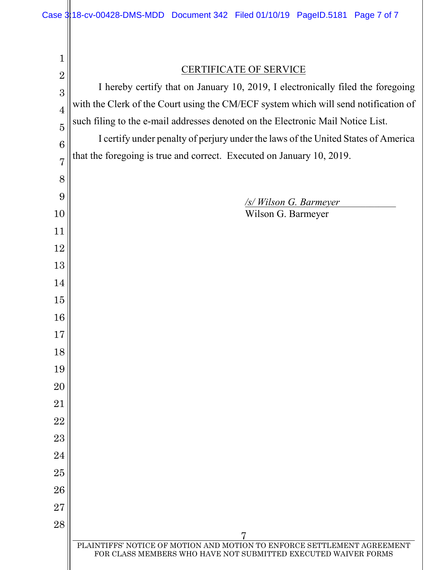PLAINTIFFS' NOTICE OF MOTION AND MOTION TO ENFORCE SETTLEMENT AGREEMENT FOR CLASS MEMBERS WHO HAVE NOT SUBMITTED EXECUTED WAIVER FORMS CERTIFICATE OF SERVICE I hereby certify that on January 10, 2019, I electronically filed the foregoing with the Clerk of the Court using the CM/ECF system which will send notification of such filing to the e-mail addresses denoted on the Electronic Mail Notice List. I certify under penalty of perjury under the laws of the United States of America that the foregoing is true and correct. Executed on January 10, 2019. */s/ Wilson G. Barmeyer*\_\_\_\_\_\_\_\_\_\_\_\_\_ Wilson G. Barmeyer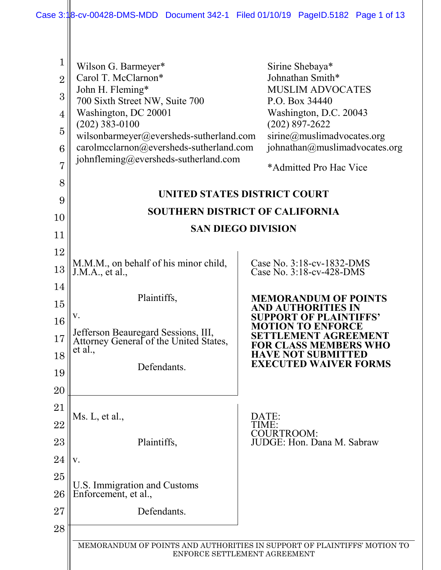|                                                                                                          | Case 3:18-cv-00428-DMS-MDD Document 342-1 Filed 01/10/19 PageID.5182 Page 1 of 13                                                                                                                                                                                          |                                                                                                                                                                                                                         |
|----------------------------------------------------------------------------------------------------------|----------------------------------------------------------------------------------------------------------------------------------------------------------------------------------------------------------------------------------------------------------------------------|-------------------------------------------------------------------------------------------------------------------------------------------------------------------------------------------------------------------------|
| 1<br>$\overline{2}$<br>3<br>$\overline{4}$<br>$\overline{5}$<br>6<br>$\overline{7}$<br>8                 | Wilson G. Barmeyer*<br>Carol T. McClarnon*<br>John H. Fleming*<br>700 Sixth Street NW, Suite 700<br>Washington, DC 20001<br>$(202)$ 383-0100<br>wilsonbarmeyer@eversheds-sutherland.com<br>carolmcclarnon@eversheds-sutherland.com<br>johnfleming@eversheds-sutherland.com | Sirine Shebaya*<br>Johnathan Smith*<br><b>MUSLIM ADVOCATES</b><br>P.O. Box 34440<br>Washington, D.C. 20043<br>$(202)$ 897-2622<br>sirine@muslimadvocates.org<br>johnathan@muslimadvocates.org<br>*Admitted Pro Hac Vice |
| 9                                                                                                        |                                                                                                                                                                                                                                                                            | UNITED STATES DISTRICT COURT                                                                                                                                                                                            |
| 10                                                                                                       |                                                                                                                                                                                                                                                                            | SOUTHERN DISTRICT OF CALIFORNIA                                                                                                                                                                                         |
| 11                                                                                                       |                                                                                                                                                                                                                                                                            | <b>SAN DIEGO DIVISION</b>                                                                                                                                                                                               |
| $12\,$                                                                                                   |                                                                                                                                                                                                                                                                            |                                                                                                                                                                                                                         |
| 13                                                                                                       | M.M.M., on behalf of his minor child,<br>J.M.A., et al.,                                                                                                                                                                                                                   | Case No. 3:18-cv-1832-DMS<br>Case No. 3:18-cv-428-DMS                                                                                                                                                                   |
| 14                                                                                                       |                                                                                                                                                                                                                                                                            |                                                                                                                                                                                                                         |
| 15                                                                                                       | Plaintiffs,                                                                                                                                                                                                                                                                | <b>MEMORANDUM OF POINTS</b><br>AND AUTHORITIES IN                                                                                                                                                                       |
| 16                                                                                                       |                                                                                                                                                                                                                                                                            | <b>SUPPORT OF PLAINTIFFS'</b><br><b>MOTION TO ENFORCE</b>                                                                                                                                                               |
| $17\,$                                                                                                   | Jefferson Beauregard Sessions, III,<br>Attorney General of the United States,                                                                                                                                                                                              | SETTLEMENT AGREEMENT<br><b>FOR CLASS MEMBERS WHO</b>                                                                                                                                                                    |
| 18                                                                                                       | et al.,                                                                                                                                                                                                                                                                    | <b>HAVE NOT SUBMITTED</b>                                                                                                                                                                                               |
| 19                                                                                                       | Defendants.                                                                                                                                                                                                                                                                | <b>EXECUTED WAIVER FORMS</b>                                                                                                                                                                                            |
| 20                                                                                                       |                                                                                                                                                                                                                                                                            |                                                                                                                                                                                                                         |
| 21                                                                                                       |                                                                                                                                                                                                                                                                            |                                                                                                                                                                                                                         |
| 22                                                                                                       | Ms. L, et al.,                                                                                                                                                                                                                                                             | DATE:<br>TIME:<br><b>COURTROOM:</b>                                                                                                                                                                                     |
| 23                                                                                                       | Plaintiffs,                                                                                                                                                                                                                                                                | JUDGE: Hon. Dana M. Sabraw                                                                                                                                                                                              |
| 24                                                                                                       | V.                                                                                                                                                                                                                                                                         |                                                                                                                                                                                                                         |
| 25                                                                                                       | U.S. Immigration and Customs                                                                                                                                                                                                                                               |                                                                                                                                                                                                                         |
| 26                                                                                                       | Enforcement, et al.,                                                                                                                                                                                                                                                       |                                                                                                                                                                                                                         |
| 27                                                                                                       | Defendants.                                                                                                                                                                                                                                                                |                                                                                                                                                                                                                         |
| 28                                                                                                       |                                                                                                                                                                                                                                                                            |                                                                                                                                                                                                                         |
| MEMORANDUM OF POINTS AND AUTHORITIES IN SUPPORT OF PLAINTIFFS' MOTION TO<br>ENFORCE SETTLEMENT AGREEMENT |                                                                                                                                                                                                                                                                            |                                                                                                                                                                                                                         |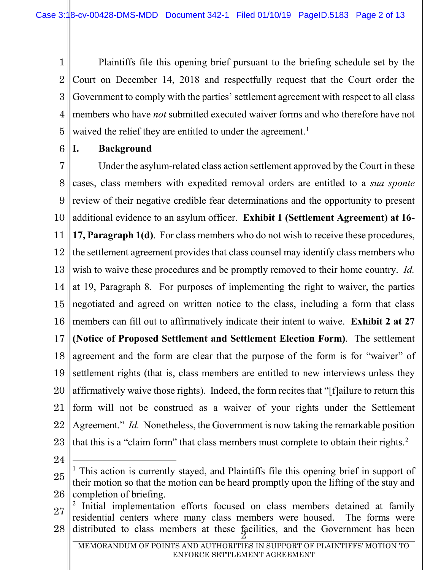1 2 3 4 5 Plaintiffs file this opening brief pursuant to the briefing schedule set by the Court on December 14, 2018 and respectfully request that the Court order the Government to comply with the parties' settlement agreement with respect to all class members who have *not* submitted executed waiver forms and who therefore have not waived the relief they are entitled to under the agreement.<sup>[1](#page-0-0)</sup>

6 **I. Background**

7 8 9 10 11 12 13 14 15 16 17 18 19 20 21 22 23 Under the asylum-related class action settlement approved by the Court in these cases, class members with expedited removal orders are entitled to a *sua sponte* review of their negative credible fear determinations and the opportunity to present additional evidence to an asylum officer. **Exhibit 1 (Settlement Agreement) at 16- 17, Paragraph 1(d)**. For class members who do not wish to receive these procedures, the settlement agreement provides that class counsel may identify class members who wish to waive these procedures and be promptly removed to their home country. *Id.*  at 19, Paragraph 8. For purposes of implementing the right to waiver, the parties negotiated and agreed on written notice to the class, including a form that class members can fill out to affirmatively indicate their intent to waive. **Exhibit 2 at 27 (Notice of Proposed Settlement and Settlement Election Form)**. The settlement agreement and the form are clear that the purpose of the form is for "waiver" of settlement rights (that is, class members are entitled to new interviews unless they affirmatively waive those rights). Indeed, the form recites that "[f]ailure to return this form will not be construed as a waiver of your rights under the Settlement Agreement." *Id.* Nonetheless, the Government is now taking the remarkable position that this is a "claim form" that class members must complete to obtain their rights.<sup>[2](#page-0-1)</sup>

24

l

<sup>25</sup> 26 <sup>1</sup> This action is currently stayed, and Plaintiffs file this opening brief in support of their motion so that the motion can be heard promptly upon the lifting of the stay and completion of briefing.

<sup>27</sup> <sup>28</sup> <sup>2</sup> distributed to class members at these facilities, and the Government has been <sup>2</sup> Initial implementation efforts focused on class members detained at family residential centers where many class members were housed. The forms were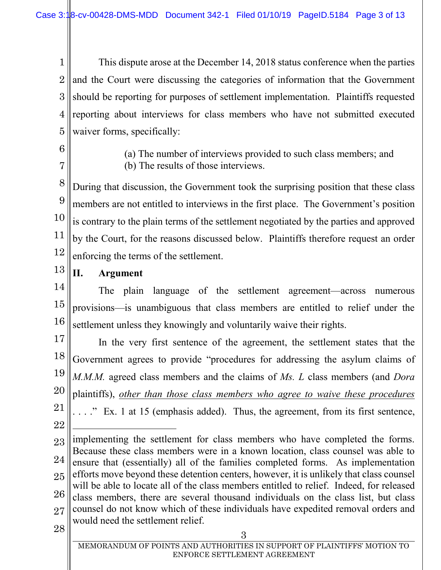1 2 3 4 5 This dispute arose at the December 14, 2018 status conference when the parties and the Court were discussing the categories of information that the Government should be reporting for purposes of settlement implementation. Plaintiffs requested reporting about interviews for class members who have not submitted executed waiver forms, specifically:

6

7

(a) The number of interviews provided to such class members; and (b) The results of those interviews.

8 9 10 11 12 During that discussion, the Government took the surprising position that these class members are not entitled to interviews in the first place. The Government's position is contrary to the plain terms of the settlement negotiated by the parties and approved by the Court, for the reasons discussed below. Plaintiffs therefore request an order enforcing the terms of the settlement.

13

# **II. Argument**

14 15 16 The plain language of the settlement agreement—across numerous provisions—is unambiguous that class members are entitled to relief under the settlement unless they knowingly and voluntarily waive their rights.

17 18 19 20 21 22 In the very first sentence of the agreement, the settlement states that the Government agrees to provide "procedures for addressing the asylum claims of *M.M.M.* agreed class members and the claims of *Ms. L* class members (and *Dora*  plaintiffs), *other than those class members who agree to waive these procedures*  . . . ." Ex. 1 at 15 (emphasis added). Thus, the agreement, from its first sentence, l

23 24 25 26 27 <sup>28</sup> <sup>3</sup> implementing the settlement for class members who have completed the forms. Because these class members were in a known location, class counsel was able to ensure that (essentially) all of the families completed forms. As implementation efforts move beyond these detention centers, however, it is unlikely that class counsel will be able to locate all of the class members entitled to relief. Indeed, for released class members, there are several thousand individuals on the class list, but class counsel do not know which of these individuals have expedited removal orders and would need the settlement relief.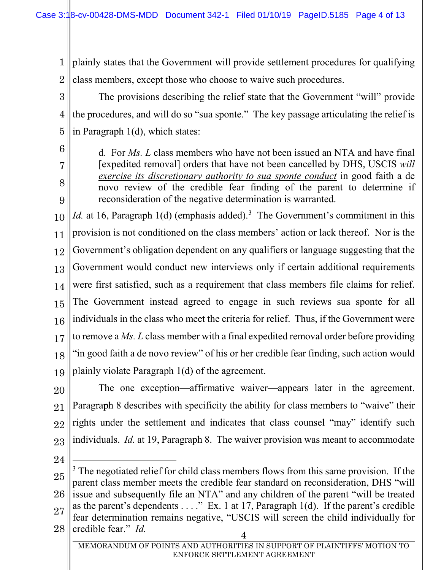1 2 plainly states that the Government will provide settlement procedures for qualifying class members, except those who choose to waive such procedures.

3 4 5 The provisions describing the relief state that the Government "will" provide the procedures, and will do so "sua sponte." The key passage articulating the relief is in Paragraph 1(d), which states:

d. For *Ms. L* class members who have not been issued an NTA and have final [expedited removal] orders that have not been cancelled by DHS, USCIS *will exercise its discretionary authority to sua sponte conduct* in good faith a de novo review of the credible fear finding of the parent to determine if reconsideration of the negative determination is warranted.

10 11 12 13 14 15 16 17 18 19 *Id.* at 16, Paragraph 1(d) (emphasis added).<sup>[3](#page-0-0)</sup> The Government's commitment in this provision is not conditioned on the class members' action or lack thereof. Nor is the Government's obligation dependent on any qualifiers or language suggesting that the Government would conduct new interviews only if certain additional requirements were first satisfied, such as a requirement that class members file claims for relief. The Government instead agreed to engage in such reviews sua sponte for all individuals in the class who meet the criteria for relief. Thus, if the Government were to remove a *Ms. L* class member with a final expedited removal order before providing "in good faith a de novo review" of his or her credible fear finding, such action would plainly violate Paragraph 1(d) of the agreement.

20 21 22 23 The one exception—affirmative waiver—appears later in the agreement. Paragraph 8 describes with specificity the ability for class members to "waive" their rights under the settlement and indicates that class counsel "may" identify such individuals. *Id.* at 19, Paragraph 8. The waiver provision was meant to accommodate

24

6

7

8

9

25 26 27  $28$  credible fear." *Id.* 4 l <sup>3</sup> The negotiated relief for child class members flows from this same provision. If the parent class member meets the credible fear standard on reconsideration, DHS "will issue and subsequently file an NTA" and any children of the parent "will be treated as the parent's dependents  $\dots$ ." Ex. 1 at 17, Paragraph 1(d). If the parent's credible fear determination remains negative, "USCIS will screen the child individually for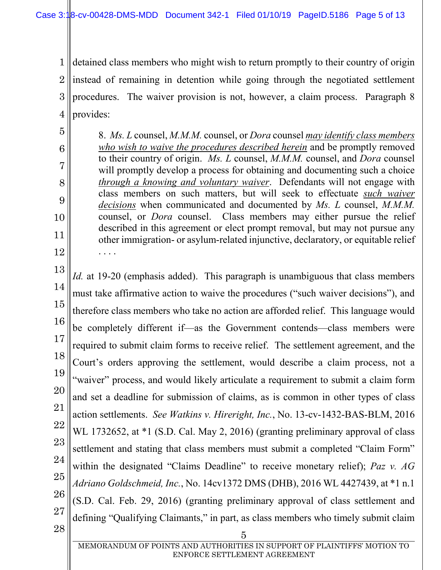5

6

7

8

9

10

11

12

1 2 3 4 detained class members who might wish to return promptly to their country of origin instead of remaining in detention while going through the negotiated settlement procedures. The waiver provision is not, however, a claim process. Paragraph 8 provides:

8. *Ms. L* counsel, *M.M.M.* counsel, or *Dora* counsel *may identify class members who wish to waive the procedures described herein* and be promptly removed to their country of origin. *Ms. L* counsel, *M.M.M.* counsel, and *Dora* counsel will promptly develop a process for obtaining and documenting such a choice *through a knowing and voluntary waiver*. Defendants will not engage with class members on such matters, but will seek to effectuate *such waiver decisions* when communicated and documented by *Ms. L* counsel, *M.M.M.*  counsel, or *Dora* counsel. Class members may either pursue the relief described in this agreement or elect prompt removal, but may not pursue any other immigration- or asylum-related injunctive, declaratory, or equitable relief . . . .

13 14 15 16 17 18 19 20 21 22 23 24 25 26 27  $\begin{array}{c|c} 28 & 5 \end{array}$ *Id.* at 19-20 (emphasis added). This paragraph is unambiguous that class members must take affirmative action to waive the procedures ("such waiver decisions"), and therefore class members who take no action are afforded relief. This language would be completely different if—as the Government contends—class members were required to submit claim forms to receive relief. The settlement agreement, and the Court's orders approving the settlement, would describe a claim process, not a "waiver" process, and would likely articulate a requirement to submit a claim form and set a deadline for submission of claims, as is common in other types of class action settlements. *See Watkins v. Hireright, Inc.*, No. 13-cv-1432-BAS-BLM, 2016 WL 1732652, at  $*1$  (S.D. Cal. May 2, 2016) (granting preliminary approval of class settlement and stating that class members must submit a completed "Claim Form" within the designated "Claims Deadline" to receive monetary relief); *Paz v. AG Adriano Goldschmeid, Inc.*, No. 14cv1372 DMS (DHB), 2016 WL 4427439, at \*1 n.1 (S.D. Cal. Feb. 29, 2016) (granting preliminary approval of class settlement and defining "Qualifying Claimants," in part, as class members who timely submit claim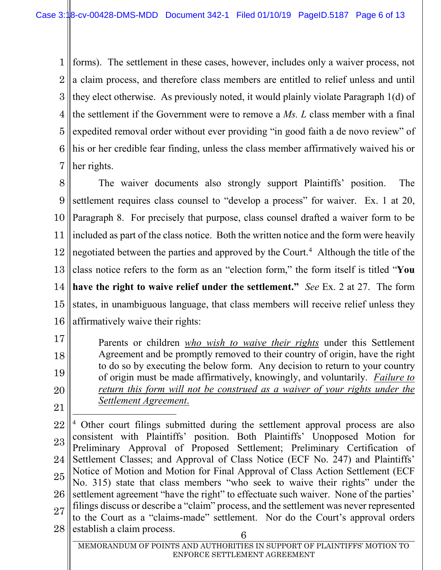1 2 3 4 5 6 7 forms). The settlement in these cases, however, includes only a waiver process, not a claim process, and therefore class members are entitled to relief unless and until they elect otherwise. As previously noted, it would plainly violate Paragraph 1(d) of the settlement if the Government were to remove a *Ms. L* class member with a final expedited removal order without ever providing "in good faith a de novo review" of his or her credible fear finding, unless the class member affirmatively waived his or her rights.

8 9 10 11 12 13 14 15 16 The waiver documents also strongly support Plaintiffs' position. The settlement requires class counsel to "develop a process" for waiver. Ex. 1 at 20, Paragraph 8. For precisely that purpose, class counsel drafted a waiver form to be included as part of the class notice. Both the written notice and the form were heavily negotiated between the parties and approved by the Court.<sup>[4](#page-0-2)</sup> Although the title of the class notice refers to the form as an "election form," the form itself is titled "**You have the right to waive relief under the settlement."** *See* Ex. 2 at 27. The form states, in unambiguous language, that class members will receive relief unless they affirmatively waive their rights:

17 18 19 20 Parents or children *who wish to waive their rights* under this Settlement Agreement and be promptly removed to their country of origin, have the right to do so by executing the below form. Any decision to return to your country of origin must be made affirmatively, knowingly, and voluntarily. *Failure to return this form will not be construed as a waiver of your rights under the Settlement Agreement*.

22 23 24 25 26 27  $28$  establish a claim process. 6 l <sup>4</sup> Other court filings submitted during the settlement approval process are also consistent with Plaintiffs' position. Both Plaintiffs' Unopposed Motion for Preliminary Approval of Proposed Settlement; Preliminary Certification of Settlement Classes; and Approval of Class Notice (ECF No. 247) and Plaintiffs' Notice of Motion and Motion for Final Approval of Class Action Settlement (ECF No. 315) state that class members "who seek to waive their rights" under the settlement agreement "have the right" to effectuate such waiver. None of the parties' filings discuss or describe a "claim" process, and the settlement was never represented to the Court as a "claims-made" settlement. Nor do the Court's approval orders

<sup>21</sup>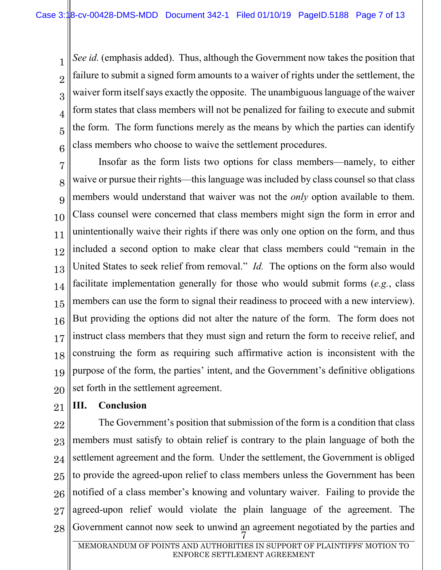2 3 6 *See id.* (emphasis added). Thus, although the Government now takes the position that failure to submit a signed form amounts to a waiver of rights under the settlement, the waiver form itself says exactly the opposite. The unambiguous language of the waiver form states that class members will not be penalized for failing to execute and submit the form. The form functions merely as the means by which the parties can identify class members who choose to waive the settlement procedures.

7 8 9 10 11 12 13 14 15 16 17 18 19 20 Insofar as the form lists two options for class members—namely, to either waive or pursue their rights—this language was included by class counsel so that class members would understand that waiver was not the *only* option available to them. Class counsel were concerned that class members might sign the form in error and unintentionally waive their rights if there was only one option on the form, and thus included a second option to make clear that class members could "remain in the United States to seek relief from removal." *Id.* The options on the form also would facilitate implementation generally for those who would submit forms (*e.g.*, class members can use the form to signal their readiness to proceed with a new interview). But providing the options did not alter the nature of the form. The form does not instruct class members that they must sign and return the form to receive relief, and construing the form as requiring such affirmative action is inconsistent with the purpose of the form, the parties' intent, and the Government's definitive obligations set forth in the settlement agreement.

21

1

4

5

## **III. Conclusion**

22 23 24 25 26 27 28 Government cannot now seek to unwind an agreement negotiated by the parties and  $\frac{7}{9}$ The Government's position that submission of the form is a condition that class members must satisfy to obtain relief is contrary to the plain language of both the settlement agreement and the form. Under the settlement, the Government is obliged to provide the agreed-upon relief to class members unless the Government has been notified of a class member's knowing and voluntary waiver. Failing to provide the agreed-upon relief would violate the plain language of the agreement. The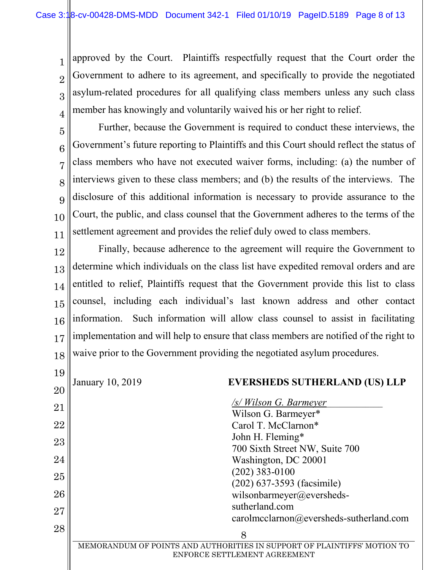6

7

8

9

10

11

1 2 3 4 approved by the Court. Plaintiffs respectfully request that the Court order the Government to adhere to its agreement, and specifically to provide the negotiated asylum-related procedures for all qualifying class members unless any such class member has knowingly and voluntarily waived his or her right to relief.

5 Further, because the Government is required to conduct these interviews, the Government's future reporting to Plaintiffs and this Court should reflect the status of class members who have not executed waiver forms, including: (a) the number of interviews given to these class members; and (b) the results of the interviews. The disclosure of this additional information is necessary to provide assurance to the Court, the public, and class counsel that the Government adheres to the terms of the settlement agreement and provides the relief duly owed to class members.

12 13 14 15 16 17 18 Finally, because adherence to the agreement will require the Government to determine which individuals on the class list have expedited removal orders and are entitled to relief, Plaintiffs request that the Government provide this list to class counsel, including each individual's last known address and other contact information. Such information will allow class counsel to assist in facilitating implementation and will help to ensure that class members are notified of the right to waive prior to the Government providing the negotiated asylum procedures.

| 19 |                                                                                                          |  |
|----|----------------------------------------------------------------------------------------------------------|--|
| 20 | January 10, 2019<br><b>EVERSHEDS SUTHERLAND (US) LLP</b>                                                 |  |
| 21 | /s/ Wilson G. Barmeyer                                                                                   |  |
| 22 | Wilson G. Barmeyer*<br>Carol T. McClarnon*                                                               |  |
| 23 | John H. Fleming*                                                                                         |  |
| 24 | 700 Sixth Street NW, Suite 700<br>Washington, DC 20001                                                   |  |
| 25 | $(202)$ 383-0100<br>$(202)$ 637-3593 (facsimile)                                                         |  |
| 26 | wilsonbarmeyer@eversheds-                                                                                |  |
| 27 | sutherland.com<br>$cardimclarnon@events$ sutherland.com                                                  |  |
| 28 | 8                                                                                                        |  |
|    | MEMORANDUM OF POINTS AND AUTHORITIES IN SUPPORT OF PLAINTIFFS' MOTION TO<br>ENFORCE SETTLEMENT AGREEMENT |  |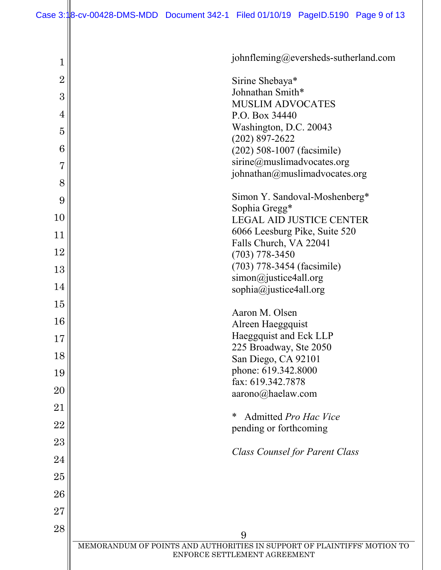| 1              | johnfleming@eversheds-sutherland.com                                          |
|----------------|-------------------------------------------------------------------------------|
| $\overline{2}$ | Sirine Shebaya*                                                               |
| 3              | Johnathan Smith*<br><b>MUSLIM ADVOCATES</b>                                   |
| 4              | P.O. Box 34440                                                                |
| $\overline{5}$ | Washington, D.C. 20043<br>$(202)$ 897-2622                                    |
| 6              | (202) 508-1007 (facsimile)                                                    |
| 7              | sirine@muslimadvocates.org<br>johnathan@muslimadvocates.org                   |
| 8              |                                                                               |
| 9              | Simon Y. Sandoval-Moshenberg*<br>Sophia Gregg*                                |
| 10             | <b>LEGAL AID JUSTICE CENTER</b>                                               |
| 11             | 6066 Leesburg Pike, Suite 520                                                 |
| 12             | Falls Church, VA 22041<br>$(703) 778 - 3450$                                  |
| 13             | (703) 778-3454 (facsimile)                                                    |
| 14             | simon@justice4all.org<br>sophia@justice4all.org                               |
| 15             |                                                                               |
| 16             | Aaron M. Olsen<br>Alreen Haeggquist                                           |
| 17             | Haeggquist and Eck LLP                                                        |
| 18             | 225 Broadway, Ste 2050<br>San Diego, CA 92101                                 |
| 19             | phone: 619.342.8000                                                           |
| 20             | fax: 619.342.7878<br>aarono@haelaw.com                                        |
| 21             |                                                                               |
| 22             | ∗<br>Admitted Pro Hac Vice<br>pending or forthcoming                          |
| 23             |                                                                               |
| 24             | <b>Class Counsel for Parent Class</b>                                         |
| 25             |                                                                               |
| 26             |                                                                               |
| 27             |                                                                               |
| 28             |                                                                               |
|                | 9<br>MEMORANDUM OF POINTS AND AUTHORITIES IN SUPPORT OF PLAINTIFFS' MOTION TO |
|                | ENFORCE SETTLEMENT AGREEMENT                                                  |
|                |                                                                               |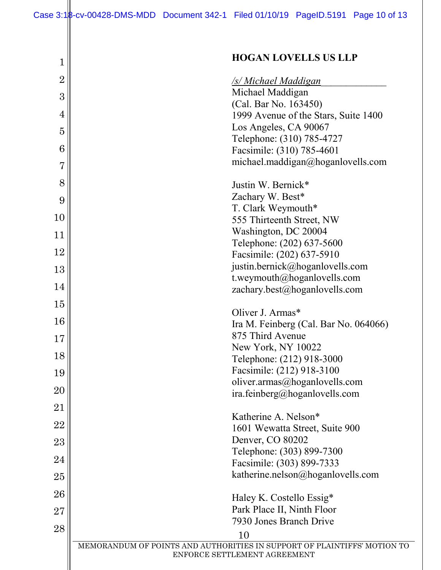Case 3:18-cv-00428-DMS-MDD Document 342-1 Filed 01/10/19 PageID.5191 Page 10 of 13

| $\mathbf 1$     | <b>HOGAN LOVELLS US LLP</b>                                              |
|-----------------|--------------------------------------------------------------------------|
| $\overline{2}$  | <b>/s/ Michael Maddigan</b>                                              |
| 3               | Michael Maddigan                                                         |
|                 | (Cal. Bar No. 163450)                                                    |
| 4               | 1999 Avenue of the Stars, Suite 1400                                     |
| $\overline{5}$  | Los Angeles, CA 90067                                                    |
| 6               | Telephone: (310) 785-4727                                                |
|                 | Facsimile: (310) 785-4601                                                |
| $\overline{7}$  | michael.maddigan@hoganlovells.com                                        |
| 8               | Justin W. Bernick*                                                       |
| 9               | Zachary W. Best*                                                         |
|                 | T. Clark Weymouth*                                                       |
| 10              | 555 Thirteenth Street, NW                                                |
| 11              | Washington, DC 20004                                                     |
| 12              | Telephone: (202) 637-5600                                                |
|                 | Facsimile: (202) 637-5910                                                |
| 13              | justin.bernick@hoganlovells.com                                          |
| 14              | t.weymouth@hoganlovells.com<br>zachary.best@hoganlovells.com             |
|                 |                                                                          |
| $15\,$          | Oliver J. Armas*                                                         |
| 16              | Ira M. Feinberg (Cal. Bar No. 064066)                                    |
| 17              | 875 Third Avenue                                                         |
| 18              | New York, NY 10022                                                       |
|                 | Telephone: (212) 918-3000                                                |
| 19              | Facsimile: (212) 918-3100                                                |
| 20              | oliver.armas@hoganlovells.com                                            |
|                 | ira.feinberg@hoganlovells.com                                            |
| $\overline{21}$ | Katherine A. Nelson*                                                     |
| 22              | 1601 Wewatta Street, Suite 900                                           |
| 23              | Denver, CO 80202                                                         |
|                 | Telephone: (303) 899-7300                                                |
| 24              | Facsimile: (303) 899-7333                                                |
| $25\,$          | katherine.nelson@hoganlovells.com                                        |
| 26              | Haley K. Costello Essig*                                                 |
| $27\,$          | Park Place II, Ninth Floor                                               |
|                 | 7930 Jones Branch Drive                                                  |
| 28              | 10                                                                       |
|                 | MEMORANDUM OF POINTS AND AUTHORITIES IN SUPPORT OF PLAINTIFFS' MOTION TO |
|                 | ENFORCE SETTLEMENT AGREEMENT                                             |
|                 |                                                                          |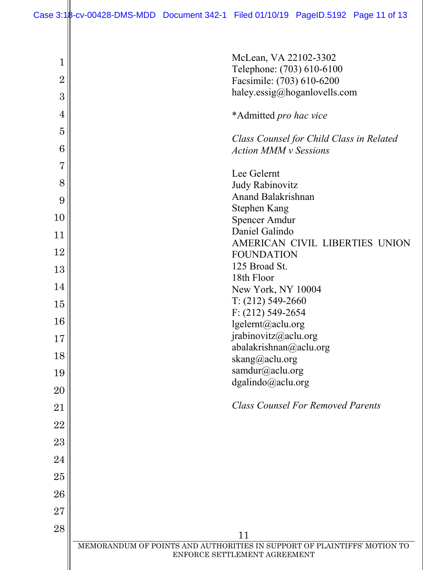| $\mathbf 1$<br>$\overline{2}$ | McLean, VA 22102-3302<br>Telephone: (703) 610-6100<br>Facsimile: (703) 610-6200                          |
|-------------------------------|----------------------------------------------------------------------------------------------------------|
| 3                             | haley.essig@hoganlovells.com                                                                             |
| $\overline{4}$                | *Admitted pro hac vice                                                                                   |
| $\overline{5}$                | Class Counsel for Child Class in Related                                                                 |
| 6                             | <b>Action MMM v Sessions</b>                                                                             |
| $\overline{7}$                | Lee Gelernt                                                                                              |
| 8<br>9                        | Judy Rabinovitz<br>Anand Balakrishnan                                                                    |
| 10                            | <b>Stephen Kang</b>                                                                                      |
| 11                            | <b>Spencer Amdur</b><br>Daniel Galindo                                                                   |
| 12                            | AMERICAN CIVIL LIBERTIES UNION                                                                           |
| 13                            | <b>FOUNDATION</b><br>125 Broad St.                                                                       |
| 14                            | 18th Floor<br>New York, NY 10004                                                                         |
| 15                            | $T: (212) 549-2660$                                                                                      |
| 16                            | $F: (212) 549 - 2654$<br>lgelernt@aclu.org                                                               |
| 17                            | jrabinovitz@aclu.org                                                                                     |
| 18                            | abalakrishnan@aclu.org<br>skang@aclu.org                                                                 |
| 19                            | samdur@aclu.org                                                                                          |
| 20                            | dgalindo@aclu.org                                                                                        |
| 21                            | <b>Class Counsel For Removed Parents</b>                                                                 |
| 22                            |                                                                                                          |
| 23                            |                                                                                                          |
| 24                            |                                                                                                          |
| 25                            |                                                                                                          |
| 26                            |                                                                                                          |
| 27                            |                                                                                                          |
| 28                            | 11                                                                                                       |
|                               | MEMORANDUM OF POINTS AND AUTHORITIES IN SUPPORT OF PLAINTIFFS' MOTION TO<br>ENFORCE SETTLEMENT AGREEMENT |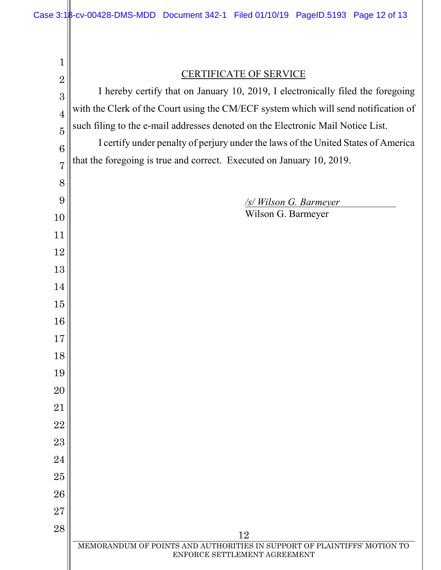| 1              |                                                                                     |  |  |
|----------------|-------------------------------------------------------------------------------------|--|--|
| $\overline{2}$ | <b>CERTIFICATE OF SERVICE</b>                                                       |  |  |
| 3              | I hereby certify that on January 10, 2019, I electronically filed the foregoing     |  |  |
| $\overline{4}$ | with the Clerk of the Court using the CM/ECF system which will send notification of |  |  |
| $\overline{5}$ | such filing to the e-mail addresses denoted on the Electronic Mail Notice List.     |  |  |
| 6              | I certify under penalty of perjury under the laws of the United States of America   |  |  |
| $\overline{7}$ | that the foregoing is true and correct. Executed on January 10, 2019.               |  |  |
| 8              |                                                                                     |  |  |
| 9              | <u>/s/Wilson G. Barmeyer</u>                                                        |  |  |
| 10             | Wilson G. Barmeyer                                                                  |  |  |
| 11             |                                                                                     |  |  |
| 12             |                                                                                     |  |  |
| 13             |                                                                                     |  |  |
| 14             |                                                                                     |  |  |
| 15             |                                                                                     |  |  |
| 16             |                                                                                     |  |  |
| 17             |                                                                                     |  |  |
| 18             |                                                                                     |  |  |
| 19             |                                                                                     |  |  |
| 20             |                                                                                     |  |  |
| 21             |                                                                                     |  |  |
| 22             |                                                                                     |  |  |
| 23             |                                                                                     |  |  |
| 24             |                                                                                     |  |  |
| 25             |                                                                                     |  |  |
| 26<br>27       |                                                                                     |  |  |
| 28             |                                                                                     |  |  |
|                | 12<br>MEMORANDUM OF POINTS AND AUTHORITIES IN SUPPORT OF PLAINTIFFS' MOTION TO      |  |  |
|                | ENFORCE SETTLEMENT AGREEMENT                                                        |  |  |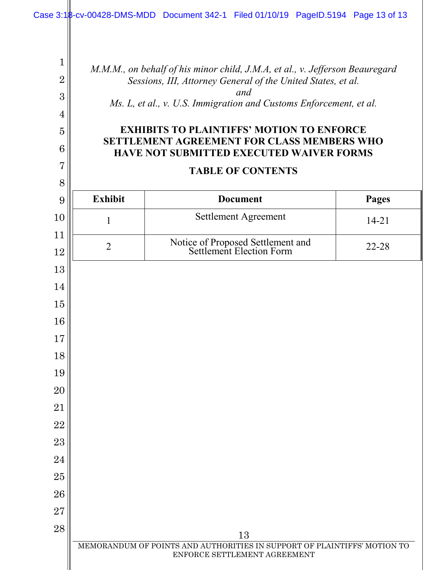*M.M.M., on behalf of his minor child, J.M.A, et al., v. Jefferson Beauregard Sessions, III, Attorney General of the United States, et al. and Ms. L, et al., v. U.S. Immigration and Customs Enforcement, et al.*

### **EXHIBITS TO PLAINTIFFS' MOTION TO ENFORCE SETTLEMENT AGREEMENT FOR CLASS MEMBERS WHO HAVE NOT SUBMITTED EXECUTED WAIVER FORMS**

| <b>TABLE OF CONTENTS</b> |                 |       |  |
|--------------------------|-----------------|-------|--|
| Exhibit                  | <b>Document</b> | Pages |  |

| 10       | $\mathbf{1}$   | Settlement Agreement                                                                                     | $14 - 21$ |
|----------|----------------|----------------------------------------------------------------------------------------------------------|-----------|
| 11<br>12 | $\overline{2}$ | Notice of Proposed Settlement and<br>Settlement Election Form                                            | 22-28     |
| 13       |                |                                                                                                          |           |
| 14       |                |                                                                                                          |           |
| 15       |                |                                                                                                          |           |
| 16       |                |                                                                                                          |           |
| 17       |                |                                                                                                          |           |
| 18       |                |                                                                                                          |           |
| 19       |                |                                                                                                          |           |
| 20       |                |                                                                                                          |           |
| 21       |                |                                                                                                          |           |
| 22       |                |                                                                                                          |           |
| 23       |                |                                                                                                          |           |
| 24       |                |                                                                                                          |           |
| 25       |                |                                                                                                          |           |
| 26       |                |                                                                                                          |           |
| 27       |                |                                                                                                          |           |
| 28       |                | 13                                                                                                       |           |
|          |                | MEMORANDUM OF POINTS AND AUTHORITIES IN SUPPORT OF PLAINTIFFS' MOTION TO<br>ENFORCE SETTLEMENT AGREEMENT |           |
|          |                |                                                                                                          |           |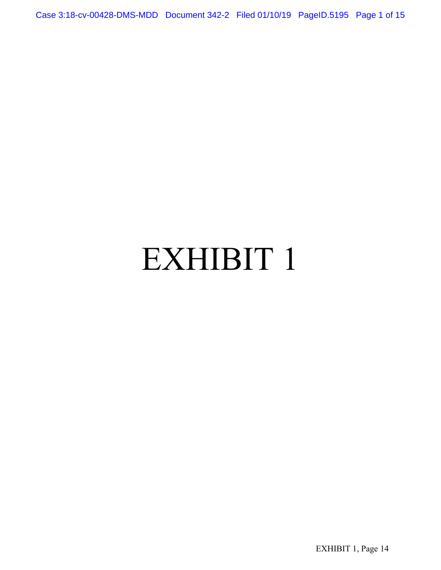Case 3:18-cv-00428-DMS-MDD Document 342-2 Filed 01/10/19 PageID.5195 Page 1 of 15

# EXHIBIT 1

EXHIBIT 1, Page 14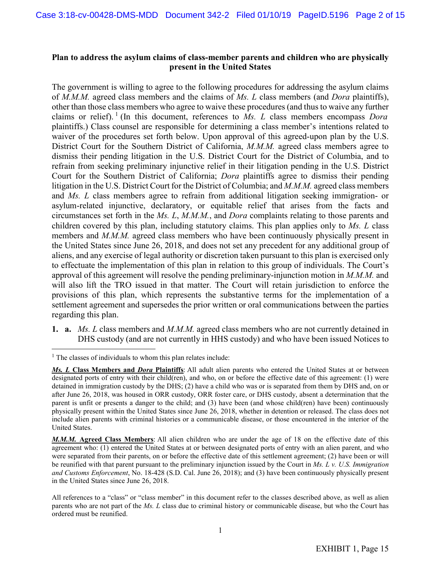#### **Plan to address the asylum claims of class-member parents and children who are physically present in the United States**

The government is willing to agree to the following procedures for addressing the asylum claims of *M.M.M.* agreed class members and the claims of *Ms. L* class members (and *Dora* plaintiffs), other than those class members who agree to waive these procedures (and thus to waive any further claims or relief).<sup>[1](#page-0-3)</sup> (In this document, references to *Ms. L* class members encompass *Dora* plaintiffs.) Class counsel are responsible for determining a class member's intentions related to waiver of the procedures set forth below. Upon approval of this agreed-upon plan by the U.S. District Court for the Southern District of California, *M.M.M.* agreed class members agree to dismiss their pending litigation in the U.S. District Court for the District of Columbia, and to refrain from seeking preliminary injunctive relief in their litigation pending in the U.S. District Court for the Southern District of California; *Dora* plaintiffs agree to dismiss their pending litigation in the U.S. District Court for the District of Columbia; and *M.M.M.* agreed class members and *Ms. L* class members agree to refrain from additional litigation seeking immigration- or asylum-related injunctive, declaratory, or equitable relief that arises from the facts and circumstances set forth in the *Ms. L*, *M.M.M.*, and *Dora* complaints relating to those parents and children covered by this plan, including statutory claims. This plan applies only to *Ms. L* class members and *M.M.M.* agreed class members who have been continuously physically present in the United States since June 26, 2018, and does not set any precedent for any additional group of aliens, and any exercise of legal authority or discretion taken pursuant to this plan is exercised only to effectuate the implementation of this plan in relation to this group of individuals. The Court's approval of this agreement will resolve the pending preliminary-injunction motion in *M.M.M.* and will also lift the TRO issued in that matter. The Court will retain jurisdiction to enforce the provisions of this plan, which represents the substantive terms for the implementation of a settlement agreement and supersedes the prior written or oral communications between the parties regarding this plan.

DHS custody (and are not currently in HHS custody) and who have been issued Notices to **1. a.** *Ms. L* class members and *M.M.M.* agreed class members who are not currently detained in

 $<sup>1</sup>$  The classes of individuals to whom this plan relates include:</sup>

*Ms. L* **Class Members and** *Dora* **Plaintiffs**: All adult alien parents who entered the United States at or between designated ports of entry with their child(ren), and who, on or before the effective date of this agreement: (1) were detained in immigration custody by the DHS; (2) have a child who was or is separated from them by DHS and, on or after June 26, 2018, was housed in ORR custody, ORR foster care, or DHS custody, absent a determination that the parent is unfit or presents a danger to the child; and (3) have been (and whose child(ren) have been) continuously physically present within the United States since June 26, 2018, whether in detention or released. The class does not include alien parents with criminal histories or a communicable disease, or those encountered in the interior of the United States.

*M.M.M.* **Agreed Class Members**: All alien children who are under the age of 18 on the effective date of this agreement who: (1) entered the United States at or between designated ports of entry with an alien parent, and who were separated from their parents, on or before the effective date of this settlement agreement; (2) have been or will be reunified with that parent pursuant to the preliminary injunction issued by the Court in *Ms. L v. U.S. Immigration and Customs Enforcement*, No. 18-428 (S.D. Cal. June 26, 2018); and (3) have been continuously physically present in the United States since June 26, 2018.

All references to a "class" or "class member" in this document refer to the classes described above, as well as alien parents who are not part of the *Ms. L* class due to criminal history or communicable disease, but who the Court has ordered must be reunified.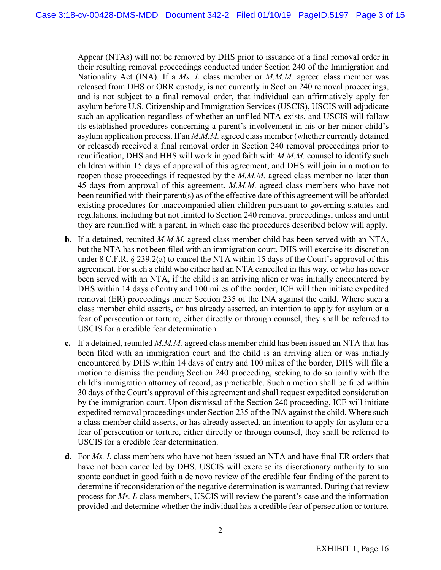Appear (NTAs) will not be removed by DHS prior to issuance of a final removal order in their resulting removal proceedings conducted under Section 240 of the Immigration and Nationality Act (INA). If a *Ms. L* class member or *M.M.M.* agreed class member was released from DHS or ORR custody, is not currently in Section 240 removal proceedings, and is not subject to a final removal order, that individual can affirmatively apply for asylum before U.S. Citizenship and Immigration Services (USCIS), USCIS will adjudicate such an application regardless of whether an unfiled NTA exists, and USCIS will follow its established procedures concerning a parent's involvement in his or her minor child's asylum application process. If an *M.M.M.* agreed class member (whether currently detained or released) received a final removal order in Section 240 removal proceedings prior to reunification, DHS and HHS will work in good faith with *M.M.M.* counsel to identify such children within 15 days of approval of this agreement, and DHS will join in a motion to reopen those proceedings if requested by the *M.M.M.* agreed class member no later than 45 days from approval of this agreement. *M.M.M.* agreed class members who have not been reunified with their parent(s) as of the effective date of this agreement will be afforded existing procedures for unaccompanied alien children pursuant to governing statutes and regulations, including but not limited to Section 240 removal proceedings, unless and until they are reunified with a parent, in which case the procedures described below will apply.

- **b.** If a detained, reunited *M.M.M.* agreed class member child has been served with an NTA, but the NTA has not been filed with an immigration court, DHS will exercise its discretion under 8 C.F.R. § 239.2(a) to cancel the NTA within 15 days of the Court's approval of this agreement. For such a child who either had an NTA cancelled in this way, or who has never been served with an NTA, if the child is an arriving alien or was initially encountered by DHS within 14 days of entry and 100 miles of the border, ICE will then initiate expedited removal (ER) proceedings under Section 235 of the INA against the child. Where such a class member child asserts, or has already asserted, an intention to apply for asylum or a fear of persecution or torture, either directly or through counsel, they shall be referred to USCIS for a credible fear determination.
- **c.** If a detained, reunited *M.M.M.* agreed class member child has been issued an NTA that has been filed with an immigration court and the child is an arriving alien or was initially encountered by DHS within 14 days of entry and 100 miles of the border, DHS will file a motion to dismiss the pending Section 240 proceeding, seeking to do so jointly with the child's immigration attorney of record, as practicable. Such a motion shall be filed within 30 days of the Court's approval of this agreement and shall request expedited consideration by the immigration court. Upon dismissal of the Section 240 proceeding, ICE will initiate expedited removal proceedings under Section 235 of the INA against the child. Where such a class member child asserts, or has already asserted, an intention to apply for asylum or a fear of persecution or torture, either directly or through counsel, they shall be referred to USCIS for a credible fear determination.
- **d.** For *Ms. L* class members who have not been issued an NTA and have final ER orders that have not been cancelled by DHS, USCIS will exercise its discretionary authority to sua sponte conduct in good faith a de novo review of the credible fear finding of the parent to determine if reconsideration of the negative determination is warranted. During that review process for *Ms. L* class members, USCIS will review the parent's case and the information provided and determine whether the individual has a credible fear of persecution or torture.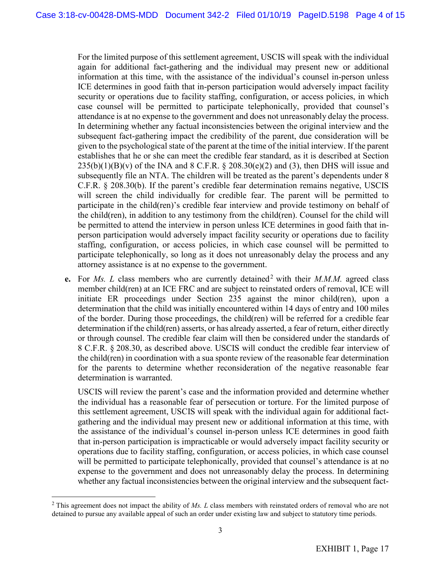For the limited purpose of this settlement agreement, USCIS will speak with the individual again for additional fact-gathering and the individual may present new or additional information at this time, with the assistance of the individual's counsel in-person unless ICE determines in good faith that in-person participation would adversely impact facility security or operations due to facility staffing, configuration, or access policies, in which case counsel will be permitted to participate telephonically, provided that counsel's attendance is at no expense to the government and does not unreasonably delay the process. In determining whether any factual inconsistencies between the original interview and the subsequent fact-gathering impact the credibility of the parent, due consideration will be given to the psychological state of the parent at the time of the initial interview. If the parent establishes that he or she can meet the credible fear standard, as it is described at Section  $235(b)(1)(B)(v)$  of the INA and 8 C.F.R. § 208.30(e)(2) and (3), then DHS will issue and subsequently file an NTA. The children will be treated as the parent's dependents under 8 C.F.R. § 208.30(b). If the parent's credible fear determination remains negative, USCIS will screen the child individually for credible fear. The parent will be permitted to participate in the child(ren)'s credible fear interview and provide testimony on behalf of the child(ren), in addition to any testimony from the child(ren). Counsel for the child will be permitted to attend the interview in person unless ICE determines in good faith that inperson participation would adversely impact facility security or operations due to facility staffing, configuration, or access policies, in which case counsel will be permitted to participate telephonically, so long as it does not unreasonably delay the process and any attorney assistance is at no expense to the government.

**e.** For *Ms. L* class members who are currently detained<sup>[2](#page-0-4)</sup> with their *M.M.M.* agreed class member child(ren) at an ICE FRC and are subject to reinstated orders of removal, ICE will initiate ER proceedings under Section 235 against the minor child(ren), upon a determination that the child was initially encountered within 14 days of entry and 100 miles of the border. During those proceedings, the child(ren) will be referred for a credible fear determination if the child(ren) asserts, or has already asserted, a fear of return, either directly or through counsel. The credible fear claim will then be considered under the standards of 8 C.F.R. § 208.30, as described above. USCIS will conduct the credible fear interview of the child(ren) in coordination with a sua sponte review of the reasonable fear determination for the parents to determine whether reconsideration of the negative reasonable fear determination is warranted.

USCIS will review the parent's case and the information provided and determine whether the individual has a reasonable fear of persecution or torture. For the limited purpose of this settlement agreement, USCIS will speak with the individual again for additional factgathering and the individual may present new or additional information at this time, with the assistance of the individual's counsel in-person unless ICE determines in good faith that in-person participation is impracticable or would adversely impact facility security or operations due to facility staffing, configuration, or access policies, in which case counsel will be permitted to participate telephonically, provided that counsel's attendance is at no expense to the government and does not unreasonably delay the process. In determining whether any factual inconsistencies between the original interview and the subsequent fact-

<sup>2</sup> This agreement does not impact the ability of *Ms. L* class members with reinstated orders of removal who are not detained to pursue any available appeal of such an order under existing law and subject to statutory time periods.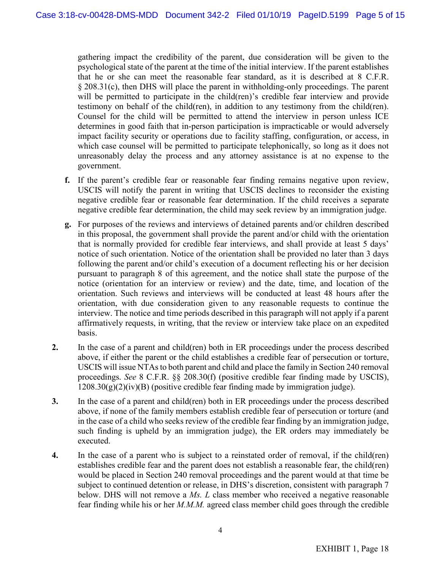gathering impact the credibility of the parent, due consideration will be given to the psychological state of the parent at the time of the initial interview. If the parent establishes that he or she can meet the reasonable fear standard, as it is described at 8 C.F.R. § 208.31(c), then DHS will place the parent in withholding-only proceedings. The parent will be permitted to participate in the child(ren)'s credible fear interview and provide testimony on behalf of the child(ren), in addition to any testimony from the child(ren). Counsel for the child will be permitted to attend the interview in person unless ICE determines in good faith that in-person participation is impracticable or would adversely impact facility security or operations due to facility staffing, configuration, or access, in which case counsel will be permitted to participate telephonically, so long as it does not unreasonably delay the process and any attorney assistance is at no expense to the government.

- **f.** If the parent's credible fear or reasonable fear finding remains negative upon review, USCIS will notify the parent in writing that USCIS declines to reconsider the existing negative credible fear or reasonable fear determination. If the child receives a separate negative credible fear determination, the child may seek review by an immigration judge.
- **g.** For purposes of the reviews and interviews of detained parents and/or children described in this proposal, the government shall provide the parent and/or child with the orientation that is normally provided for credible fear interviews, and shall provide at least 5 days' notice of such orientation. Notice of the orientation shall be provided no later than 3 days following the parent and/or child's execution of a document reflecting his or her decision pursuant to paragraph 8 of this agreement, and the notice shall state the purpose of the notice (orientation for an interview or review) and the date, time, and location of the orientation. Such reviews and interviews will be conducted at least 48 hours after the orientation, with due consideration given to any reasonable requests to continue the interview. The notice and time periods described in this paragraph will not apply if a parent affirmatively requests, in writing, that the review or interview take place on an expedited basis.
- **2.** In the case of a parent and child(ren) both in ER proceedings under the process described above, if either the parent or the child establishes a credible fear of persecution or torture, USCIS will issue NTAs to both parent and child and place the family in Section 240 removal proceedings. *See* 8 C.F.R. §§ 208.30(f) (positive credible fear finding made by USCIS),  $1208.30(g)(2)(iv)(B)$  (positive credible fear finding made by immigration judge).
- **3.** In the case of a parent and child(ren) both in ER proceedings under the process described above, if none of the family members establish credible fear of persecution or torture (and in the case of a child who seeks review of the credible fear finding by an immigration judge, such finding is upheld by an immigration judge), the ER orders may immediately be executed.
- **4.** In the case of a parent who is subject to a reinstated order of removal, if the child(ren) establishes credible fear and the parent does not establish a reasonable fear, the child(ren) would be placed in Section 240 removal proceedings and the parent would at that time be subject to continued detention or release, in DHS's discretion, consistent with paragraph 7 below. DHS will not remove a *Ms. L* class member who received a negative reasonable fear finding while his or her *M.M.M.* agreed class member child goes through the credible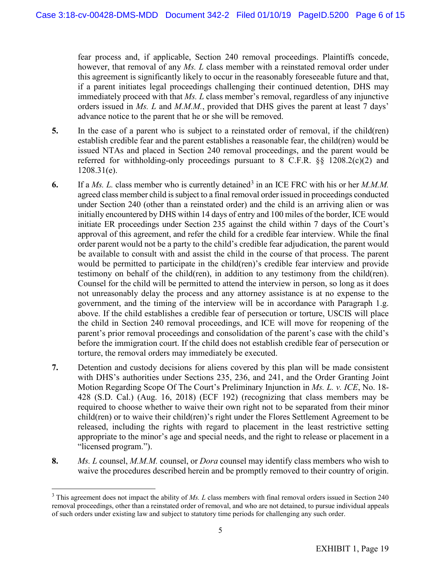fear process and, if applicable, Section 240 removal proceedings. Plaintiffs concede, however, that removal of any *Ms. L* class member with a reinstated removal order under this agreement is significantly likely to occur in the reasonably foreseeable future and that, if a parent initiates legal proceedings challenging their continued detention, DHS may immediately proceed with that *Ms. L* class member's removal, regardless of any injunctive orders issued in *Ms. L* and *M.M.M.*, provided that DHS gives the parent at least 7 days' advance notice to the parent that he or she will be removed.

- **5.** In the case of a parent who is subject to a reinstated order of removal, if the child(ren) establish credible fear and the parent establishes a reasonable fear, the child(ren) would be issued NTAs and placed in Section 240 removal proceedings, and the parent would be referred for withholding-only proceedings pursuant to 8 C.F.R. §§ 1208.2(c)(2) and 1208.31(e).
- **6.** If a *Ms. L.* class member who is currently detained<sup>[3](#page-0-5)</sup> in an ICE FRC with his or her *M.M.M.* agreed class member child is subject to a final removal order issued in proceedings conducted under Section 240 (other than a reinstated order) and the child is an arriving alien or was initially encountered by DHS within 14 days of entry and 100 miles of the border, ICE would initiate ER proceedings under Section 235 against the child within 7 days of the Court's approval of this agreement, and refer the child for a credible fear interview. While the final order parent would not be a party to the child's credible fear adjudication, the parent would be available to consult with and assist the child in the course of that process. The parent would be permitted to participate in the child(ren)'s credible fear interview and provide testimony on behalf of the child(ren), in addition to any testimony from the child(ren). Counsel for the child will be permitted to attend the interview in person, so long as it does not unreasonably delay the process and any attorney assistance is at no expense to the government, and the timing of the interview will be in accordance with Paragraph 1.g. above. If the child establishes a credible fear of persecution or torture, USCIS will place the child in Section 240 removal proceedings, and ICE will move for reopening of the parent's prior removal proceedings and consolidation of the parent's case with the child's before the immigration court. If the child does not establish credible fear of persecution or torture, the removal orders may immediately be executed.
- **7.** Detention and custody decisions for aliens covered by this plan will be made consistent with DHS's authorities under Sections 235, 236, and 241, and the Order Granting Joint Motion Regarding Scope Of The Court's Preliminary Injunction in *Ms. L. v. ICE*, No. 18- 428 (S.D. Cal.) (Aug. 16, 2018) (ECF 192) (recognizing that class members may be required to choose whether to waive their own right not to be separated from their minor child(ren) or to waive their child(ren)'s right under the Flores Settlement Agreement to be released, including the rights with regard to placement in the least restrictive setting appropriate to the minor's age and special needs, and the right to release or placement in a "licensed program.").
- **8.** *Ms. L* counsel, *M.M.M.* counsel, or *Dora* counsel may identify class members who wish to waive the procedures described herein and be promptly removed to their country of origin.

<sup>&</sup>lt;sup>3</sup> This agreement does not impact the ability of *Ms. L* class members with final removal orders issued in Section 240 removal proceedings, other than a reinstated order of removal, and who are not detained, to pursue individual appeals of such orders under existing law and subject to statutory time periods for challenging any such order.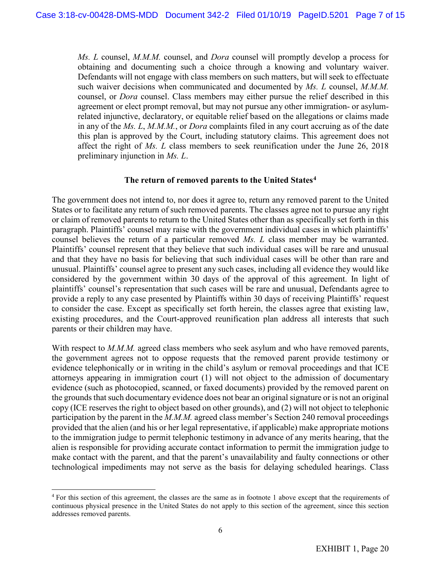*Ms. L* counsel, *M.M.M.* counsel, and *Dora* counsel will promptly develop a process for obtaining and documenting such a choice through a knowing and voluntary waiver. Defendants will not engage with class members on such matters, but will seek to effectuate such waiver decisions when communicated and documented by *Ms. L* counsel, *M.M.M.* counsel, or *Dora* counsel. Class members may either pursue the relief described in this agreement or elect prompt removal, but may not pursue any other immigration- or asylumrelated injunctive, declaratory, or equitable relief based on the allegations or claims made in any of the *Ms. L*, *M.M.M.*, or *Dora* complaints filed in any court accruing as of the date this plan is approved by the Court, including statutory claims. This agreement does not affect the right of *Ms. L* class members to seek reunification under the June 26, 2018 preliminary injunction in *Ms. L*.

#### **The return of removed parents to the United States[4](#page-0-6)**

The government does not intend to, nor does it agree to, return any removed parent to the United States or to facilitate any return of such removed parents. The classes agree not to pursue any right or claim of removed parents to return to the United States other than as specifically set forth in this paragraph. Plaintiffs' counsel may raise with the government individual cases in which plaintiffs' counsel believes the return of a particular removed *Ms. L* class member may be warranted. Plaintiffs' counsel represent that they believe that such individual cases will be rare and unusual and that they have no basis for believing that such individual cases will be other than rare and unusual. Plaintiffs' counsel agree to present any such cases, including all evidence they would like considered by the government within 30 days of the approval of this agreement. In light of plaintiffs' counsel's representation that such cases will be rare and unusual, Defendants agree to provide a reply to any case presented by Plaintiffs within 30 days of receiving Plaintiffs' request to consider the case. Except as specifically set forth herein, the classes agree that existing law, existing procedures, and the Court-approved reunification plan address all interests that such parents or their children may have.

With respect to *M.M.M.* agreed class members who seek asylum and who have removed parents, the government agrees not to oppose requests that the removed parent provide testimony or evidence telephonically or in writing in the child's asylum or removal proceedings and that ICE attorneys appearing in immigration court (1) will not object to the admission of documentary evidence (such as photocopied, scanned, or faxed documents) provided by the removed parent on the grounds that such documentary evidence does not bear an original signature or is not an original copy (ICE reserves the right to object based on other grounds), and (2) will not object to telephonic participation by the parent in the *M.M.M.* agreed class member's Section 240 removal proceedings provided that the alien (and his or her legal representative, if applicable) make appropriate motions to the immigration judge to permit telephonic testimony in advance of any merits hearing, that the alien is responsible for providing accurate contact information to permit the immigration judge to make contact with the parent, and that the parent's unavailability and faulty connections or other technological impediments may not serve as the basis for delaying scheduled hearings. Class

<sup>4</sup> For this section of this agreement, the classes are the same as in footnote 1 above except that the requirements of continuous physical presence in the United States do not apply to this section of the agreement, since this section addresses removed parents.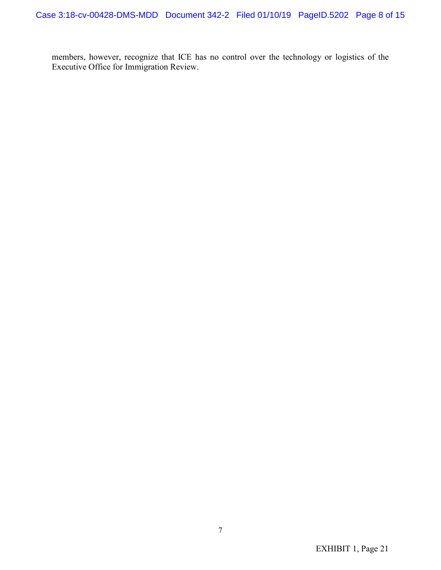members, however, recognize that ICE has no control over the technology or logistics of the Executive Office for Immigration Review.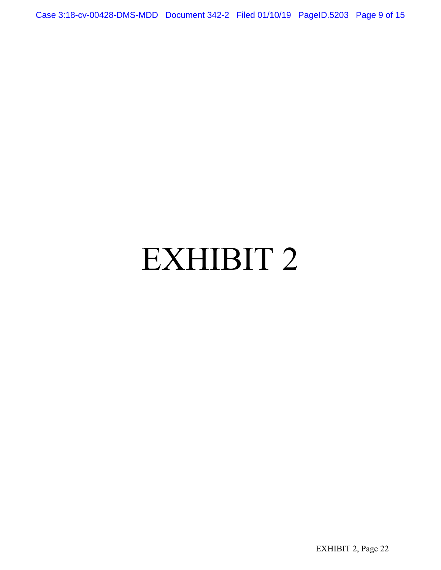Case 3:18-cv-00428-DMS-MDD Document 342-2 Filed 01/10/19 PageID.5203 Page 9 of 15

# EXHIBIT 2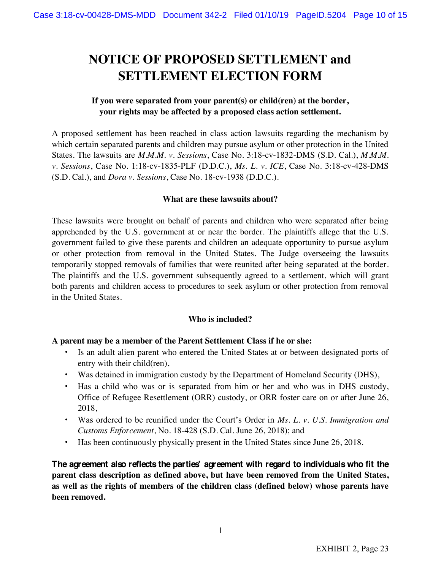# **NOTICE OF PROPOSED SETTLEMENT and SETTLEMENT ELECTION FORM**

#### **If you were separated from your parent(s) or child(ren) at the border, your rights may be affected by a proposed class action settlement.**

A proposed settlement has been reached in class action lawsuits regarding the mechanism by which certain separated parents and children may pursue asylum or other protection in the United States. The lawsuits are *M.M.M. v. Sessions*, Case No. 3:18-cv-1832-DMS (S.D. Cal.), *M.M.M. v. Sessions*, Case No. 1:18-cv-1835-PLF (D.D.C.), *Ms. L. v. ICE*, Case No. 3:18-cv-428-DMS (S.D. Cal.), and *Dora v. Sessions*, Case No. 18-cv-1938 (D.D.C.).

#### **What are these lawsuits about?**

These lawsuits were brought on behalf of parents and children who were separated after being apprehended by the U.S. government at or near the border. The plaintiffs allege that the U.S. government failed to give these parents and children an adequate opportunity to pursue asylum or other protection from removal in the United States. The Judge overseeing the lawsuits temporarily stopped removals of families that were reunited after being separated at the border. The plaintiffs and the U.S. government subsequently agreed to a settlement, which will grant both parents and children access to procedures to seek asylum or other protection from removal in the United States.

#### **Who is included?**

#### **A parent may be a member of the Parent Settlement Class if he or she:**

- Is an adult alien parent who entered the United States at or between designated ports of entry with their child(ren),
- Was detained in immigration custody by the Department of Homeland Security (DHS),
- Has a child who was or is separated from him or her and who was in DHS custody, Office of Refugee Resettlement (ORR) custody, or ORR foster care on or after June 26, 2018,
- Was ordered to be reunified under the Court's Order in *Ms. L. v. U.S. Immigration and Customs Enforcement*, No. 18-428 (S.D. Cal. June 26, 2018); and
- Has been continuously physically present in the United States since June 26, 2018.

**The agreement also reflects the parties' agreement with regard to individuals who fit the parent class description as defined above, but have been removed from the United States, as well as the rights of members of the children class (defined below) whose parents have been removed.**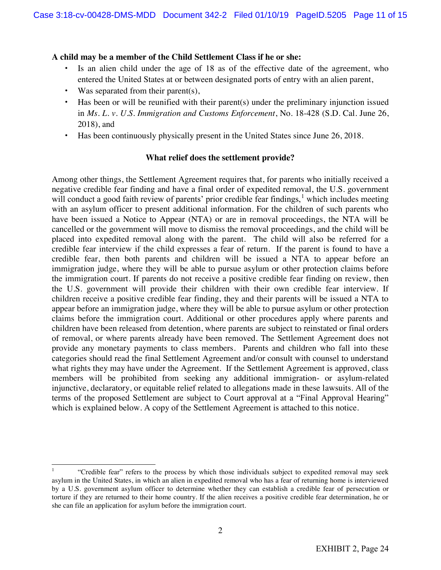#### **A child may be a member of the Child Settlement Class if he or she:**

- Is an alien child under the age of 18 as of the effective date of the agreement, who entered the United States at or between designated ports of entry with an alien parent,
- Was separated from their parent(s),
- Has been or will be reunified with their parent(s) under the preliminary injunction issued in *Ms. L. v. U.S. Immigration and Customs Enforcement*, No. 18-428 (S.D. Cal. June 26, 2018), and
- Has been continuously physically present in the United States since June 26, 2018.

#### **What relief does the settlement provide?**

Among other things, the Settlement Agreement requires that, for parents who initially received a negative credible fear finding and have a final order of expedited removal, the U.S. government will conduct a good faith review of parents' prior credible fear findings, $\frac{1}{1}$  which includes meeting with an asylum officer to present additional information. For the children of such parents who have been issued a Notice to Appear (NTA) or are in removal proceedings, the NTA will be cancelled or the government will move to dismiss the removal proceedings, and the child will be placed into expedited removal along with the parent. The child will also be referred for a credible fear interview if the child expresses a fear of return. If the parent is found to have a credible fear, then both parents and children will be issued a NTA to appear before an immigration judge, where they will be able to pursue asylum or other protection claims before the immigration court. If parents do not receive a positive credible fear finding on review, then the U.S. government will provide their children with their own credible fear interview. If children receive a positive credible fear finding, they and their parents will be issued a NTA to appear before an immigration judge, where they will be able to pursue asylum or other protection claims before the immigration court. Additional or other procedures apply where parents and children have been released from detention, where parents are subject to reinstated or final orders of removal, or where parents already have been removed. The Settlement Agreement does not provide any monetary payments to class members. Parents and children who fall into these categories should read the final Settlement Agreement and/or consult with counsel to understand what rights they may have under the Agreement. If the Settlement Agreement is approved, class members will be prohibited from seeking any additional immigration- or asylum-related injunctive, declaratory, or equitable relief related to allegations made in these lawsuits. All of the terms of the proposed Settlement are subject to Court approval at a "Final Approval Hearing" which is explained below. A copy of the Settlement Agreement is attached to this notice.

<sup>1</sup> "Credible fear" refers to the process by which those individuals subject to expedited removal may seek asylum in the United States, in which an alien in expedited removal who has a fear of returning home is interviewed by a U.S. government asylum officer to determine whether they can establish a credible fear of persecution or torture if they are returned to their home country. If the alien receives a positive credible fear determination, he or she can file an application for asylum before the immigration court.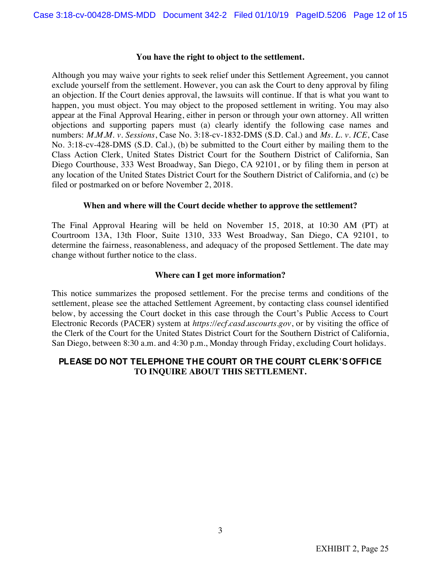#### **You have the right to object to the settlement.**

Although you may waive your rights to seek relief under this Settlement Agreement, you cannot exclude yourself from the settlement. However, you can ask the Court to deny approval by filing an objection. If the Court denies approval, the lawsuits will continue. If that is what you want to happen, you must object. You may object to the proposed settlement in writing. You may also appear at the Final Approval Hearing, either in person or through your own attorney. All written objections and supporting papers must (a) clearly identify the following case names and numbers: *M.M.M. v. Sessions*, Case No. 3:18-cv-1832-DMS (S.D. Cal.) and *Ms. L. v. ICE*, Case No. 3:18-cv-428-DMS (S.D. Cal.), (b) be submitted to the Court either by mailing them to the Class Action Clerk, United States District Court for the Southern District of California, San Diego Courthouse, 333 West Broadway, San Diego, CA 92101, or by filing them in person at any location of the United States District Court for the Southern District of California, and (c) be filed or postmarked on or before November 2, 2018.

#### **When and where will the Court decide whether to approve the settlement?**

The Final Approval Hearing will be held on November 15, 2018, at 10:30 AM (PT) at Courtroom 13A, 13th Floor, Suite 1310, 333 West Broadway, San Diego, CA 92101, to determine the fairness, reasonableness, and adequacy of the proposed Settlement. The date may change without further notice to the class.

#### **Where can I get more information?**

This notice summarizes the proposed settlement. For the precise terms and conditions of the settlement, please see the attached Settlement Agreement, by contacting class counsel identified below, by accessing the Court docket in this case through the Court's Public Access to Court Electronic Records (PACER) system at *https://ecf.casd.uscourts.gov*, or by visiting the office of the Clerk of the Court for the United States District Court for the Southern District of California, San Diego, between 8:30 a.m. and 4:30 p.m., Monday through Friday, excluding Court holidays.

#### **PLEASE DO NOT TELEPHONE THE COURT OR THE COURT CLERK'S OFFICE TO INQUIRE ABOUT THIS SETTLEMENT.**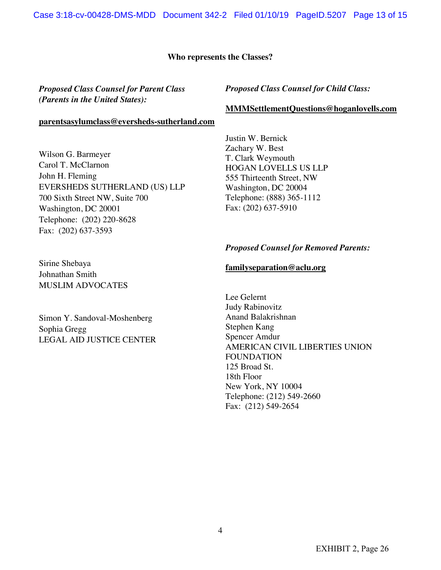#### **Who represents the Classes?**

#### *Proposed Class Counsel for Parent Class (Parents in the United States):*

#### **parentsasylumclass@eversheds-sutherland.com**

Wilson G. Barmeyer Carol T. McClarnon John H. Fleming EVERSHEDS SUTHERLAND (US) LLP 700 Sixth Street NW, Suite 700 Washington, DC 20001 Telephone: (202) 220-8628 Fax: (202) 637-3593

Sirine Shebaya Johnathan Smith MUSLIM ADVOCATES

Simon Y. Sandoval-Moshenberg Sophia Gregg LEGAL AID JUSTICE CENTER

#### *Proposed Class Counsel for Child Class:*

#### **MMMSettlementQuestions@hoganlovells.com**

Justin W. Bernick Zachary W. Best T. Clark Weymouth HOGAN LOVELLS US LLP 555 Thirteenth Street, NW Washington, DC 20004 Telephone: (888) 365-1112 Fax: (202) 637-5910

#### *Proposed Counsel for Removed Parents:*

#### **familyseparation@aclu.org**

Lee Gelernt Judy Rabinovitz Anand Balakrishnan Stephen Kang Spencer Amdur AMERICAN CIVIL LIBERTIES UNION FOUNDATION 125 Broad St. 18th Floor New York, NY 10004 Telephone: (212) 549-2660 Fax: (212) 549-2654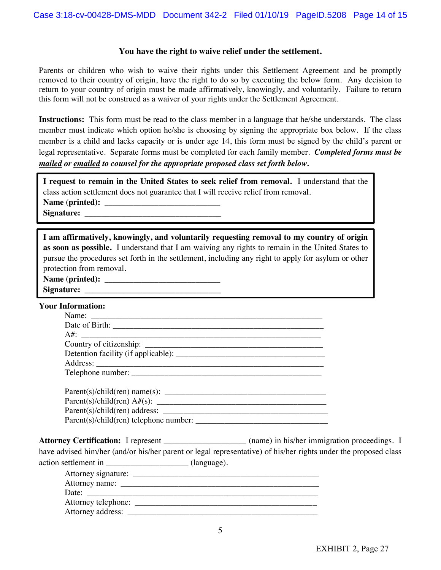#### **You have the right to waive relief under the settlement.**

Parents or children who wish to waive their rights under this Settlement Agreement and be promptly removed to their country of origin, have the right to do so by executing the below form. Any decision to return to your country of origin must be made affirmatively, knowingly, and voluntarily. Failure to return this form will not be construed as a waiver of your rights under the Settlement Agreement.

**Instructions:** This form must be read to the class member in a language that he/she understands. The class member must indicate which option he/she is choosing by signing the appropriate box below. If the class member is a child and lacks capacity or is under age 14, this form must be signed by the child's parent or legal representative. Separate forms must be completed for each family member. *Completed forms must be mailed or emailed to counsel for the appropriate proposed class set forth below.*

**I request to remain in the United States to seek relief from removal.** I understand that the class action settlement does not guarantee that I will receive relief from removal. Name (printed):

**Signature:** \_\_\_\_\_\_\_\_\_\_\_\_\_\_\_\_\_\_\_\_\_\_\_\_\_\_\_\_\_\_\_\_\_

| I am affirmatively, knowingly, and voluntarily requesting removal to my country of origin           |  |  |  |  |
|-----------------------------------------------------------------------------------------------------|--|--|--|--|
| as soon as possible. I understand that I am waiving any rights to remain in the United States to    |  |  |  |  |
| pursue the procedures set forth in the settlement, including any right to apply for asylum or other |  |  |  |  |
| protection from removal.                                                                            |  |  |  |  |

| Name (printed): |  |
|-----------------|--|
|-----------------|--|

| Signature: |  |
|------------|--|
|            |  |

#### **Your Information:**

| Parent(s)/child(ren) address:<br>Parent(s)/child(ren) telephone number: |  |  |  |
|-------------------------------------------------------------------------|--|--|--|

**Attorney Certification:** I represent \_\_\_\_\_\_\_\_\_\_\_\_\_\_\_\_\_\_\_\_ (name) in his/her immigration proceedings. I have advised him/her (and/or his/her parent or legal representative) of his/her rights under the proposed class action settlement in  $\qquad \qquad$  (language).

| Attorney signature: |  |  |
|---------------------|--|--|
|                     |  |  |
| Date:               |  |  |
| Attorney telephone: |  |  |
| Attorney address:   |  |  |